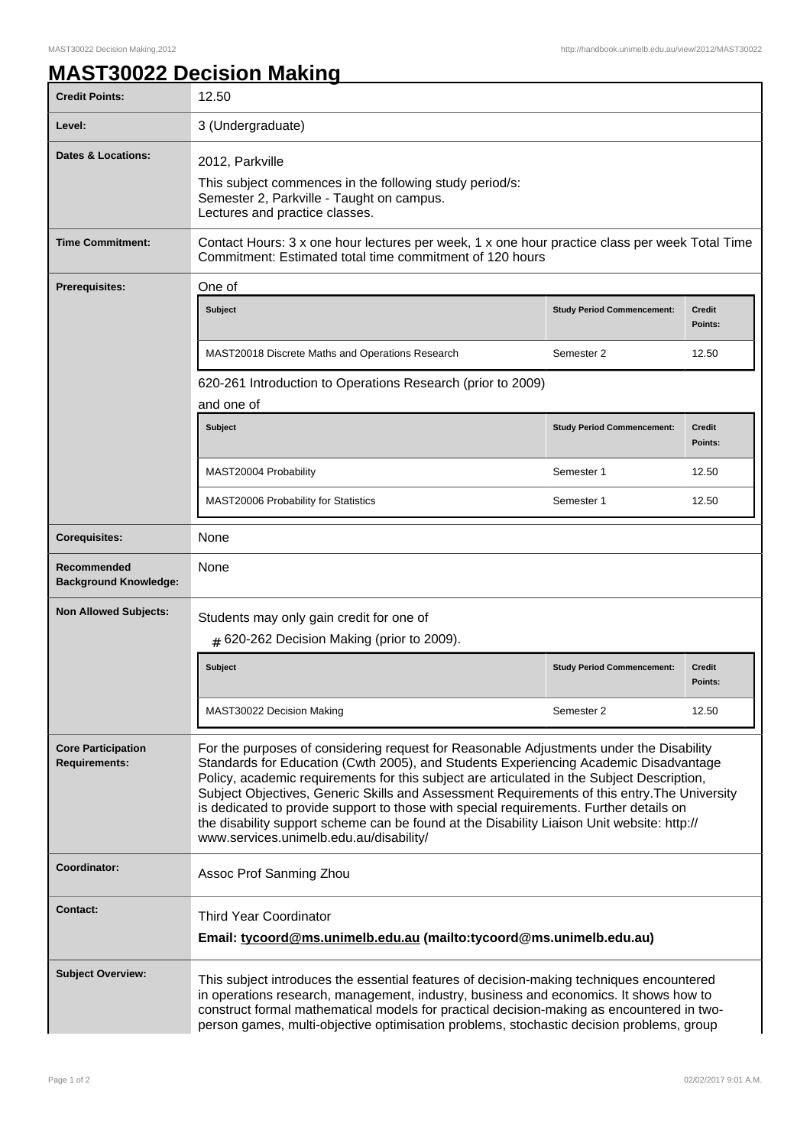## **MAST30022 Decision Making**

| <b>Credit Points:</b>                             | 12.50                                                                                                                                                                                                                                                                                                                                                                                                                                                                                                                                                                                                            |                                   |                          |  |
|---------------------------------------------------|------------------------------------------------------------------------------------------------------------------------------------------------------------------------------------------------------------------------------------------------------------------------------------------------------------------------------------------------------------------------------------------------------------------------------------------------------------------------------------------------------------------------------------------------------------------------------------------------------------------|-----------------------------------|--------------------------|--|
| Level:                                            | 3 (Undergraduate)                                                                                                                                                                                                                                                                                                                                                                                                                                                                                                                                                                                                |                                   |                          |  |
| <b>Dates &amp; Locations:</b>                     | 2012, Parkville<br>This subject commences in the following study period/s:<br>Semester 2, Parkville - Taught on campus.<br>Lectures and practice classes.                                                                                                                                                                                                                                                                                                                                                                                                                                                        |                                   |                          |  |
| <b>Time Commitment:</b>                           | Contact Hours: 3 x one hour lectures per week, 1 x one hour practice class per week Total Time<br>Commitment: Estimated total time commitment of 120 hours                                                                                                                                                                                                                                                                                                                                                                                                                                                       |                                   |                          |  |
| <b>Prerequisites:</b>                             | One of<br>Subject                                                                                                                                                                                                                                                                                                                                                                                                                                                                                                                                                                                                | <b>Study Period Commencement:</b> | <b>Credit</b><br>Points: |  |
|                                                   | MAST20018 Discrete Maths and Operations Research<br>620-261 Introduction to Operations Research (prior to 2009)                                                                                                                                                                                                                                                                                                                                                                                                                                                                                                  | Semester 2                        | 12.50                    |  |
|                                                   | and one of                                                                                                                                                                                                                                                                                                                                                                                                                                                                                                                                                                                                       |                                   |                          |  |
|                                                   | <b>Subject</b>                                                                                                                                                                                                                                                                                                                                                                                                                                                                                                                                                                                                   | <b>Study Period Commencement:</b> | <b>Credit</b><br>Points: |  |
|                                                   | MAST20004 Probability                                                                                                                                                                                                                                                                                                                                                                                                                                                                                                                                                                                            | Semester 1                        | 12.50                    |  |
|                                                   | <b>MAST20006 Probability for Statistics</b>                                                                                                                                                                                                                                                                                                                                                                                                                                                                                                                                                                      | Semester 1                        | 12.50                    |  |
| <b>Corequisites:</b>                              | None                                                                                                                                                                                                                                                                                                                                                                                                                                                                                                                                                                                                             |                                   |                          |  |
| Recommended<br><b>Background Knowledge:</b>       | None                                                                                                                                                                                                                                                                                                                                                                                                                                                                                                                                                                                                             |                                   |                          |  |
| <b>Non Allowed Subjects:</b>                      | Students may only gain credit for one of<br>$#$ 620-262 Decision Making (prior to 2009).                                                                                                                                                                                                                                                                                                                                                                                                                                                                                                                         |                                   |                          |  |
|                                                   | <b>Subject</b>                                                                                                                                                                                                                                                                                                                                                                                                                                                                                                                                                                                                   | <b>Study Period Commencement:</b> | <b>Credit</b><br>Points: |  |
|                                                   | MAST30022 Decision Making                                                                                                                                                                                                                                                                                                                                                                                                                                                                                                                                                                                        | Semester 2                        | 12.50                    |  |
| <b>Core Participation</b><br><b>Requirements:</b> | For the purposes of considering request for Reasonable Adjustments under the Disability<br>Standards for Education (Cwth 2005), and Students Experiencing Academic Disadvantage<br>Policy, academic requirements for this subject are articulated in the Subject Description,<br>Subject Objectives, Generic Skills and Assessment Requirements of this entry. The University<br>is dedicated to provide support to those with special requirements. Further details on<br>the disability support scheme can be found at the Disability Liaison Unit website: http://<br>www.services.unimelb.edu.au/disability/ |                                   |                          |  |
| Coordinator:                                      | Assoc Prof Sanming Zhou                                                                                                                                                                                                                                                                                                                                                                                                                                                                                                                                                                                          |                                   |                          |  |
| <b>Contact:</b>                                   | <b>Third Year Coordinator</b><br>Email: tycoord@ms.unimelb.edu.au (mailto:tycoord@ms.unimelb.edu.au)                                                                                                                                                                                                                                                                                                                                                                                                                                                                                                             |                                   |                          |  |
| <b>Subject Overview:</b>                          | This subject introduces the essential features of decision-making techniques encountered<br>in operations research, management, industry, business and economics. It shows how to<br>construct formal mathematical models for practical decision-making as encountered in two-<br>person games, multi-objective optimisation problems, stochastic decision problems, group                                                                                                                                                                                                                                       |                                   |                          |  |